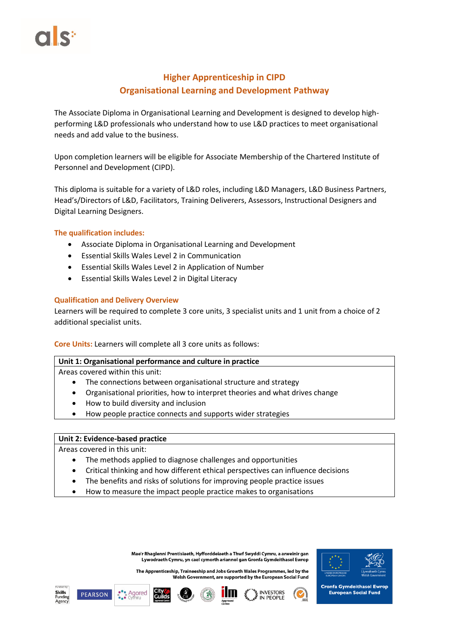# **Higher Apprenticeship in CIPD Organisational Learning and Development Pathway**

The Associate Diploma in Organisational Learning and Development is designed to develop highperforming L&D professionals who understand how to use L&D practices to meet organisational needs and add value to the business.

Upon completion learners will be eligible for Associate Membership of the Chartered Institute of Personnel and Development (CIPD).

This diploma is suitable for a variety of L&D roles, including L&D Managers, L&D Business Partners, Head's/Directors of L&D, Facilitators, Training Deliverers, Assessors, Instructional Designers and Digital Learning Designers.

# **The qualification includes:**

- Associate Diploma in Organisational Learning and Development
- Essential Skills Wales Level 2 in Communication
- Essential Skills Wales Level 2 in Application of Number
- Essential Skills Wales Level 2 in Digital Literacy

# **Qualification and Delivery Overview**

Learners will be required to complete 3 core units, 3 specialist units and 1 unit from a choice of 2 additional specialist units.

# **Core Units:** Learners will complete all 3 core units as follows:

#### **Unit 1: Organisational performance and culture in practice**

Areas covered within this unit:

- The connections between organisational structure and strategy
- Organisational priorities, how to interpret theories and what drives change
- How to build diversity and inclusion
- How people practice connects and supports wider strategies

#### **Unit 2: Evidence-based practice**

Areas covered in this unit:

- The methods applied to diagnose challenges and opportunities
- Critical thinking and how different ethical perspectives can influence decisions
- The benefits and risks of solutions for improving people practice issues
- How to measure the impact people practice makes to organisations

Mae'r Rhaglenni Prentisiaeth, Hyfforddeiaeth a Thwf Swyddi Cymru, a arweinir gan Lywodraeth Cymru, yn cael cymorth ariannol gan Gronfa Gymdeithasol Ewrop

The Apprenticeship, Traineeship and Jobs Growth Wales Programmes, led by the Welsh Government, are supported by the European Social Fund



**Cronfa Gymdeithasol Ewrop European Social Fund** 









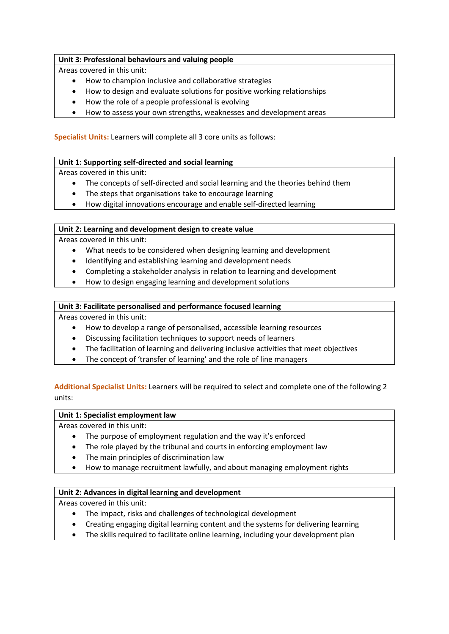## **Unit 3: Professional behaviours and valuing people**

Areas covered in this unit:

- How to champion inclusive and collaborative strategies
- How to design and evaluate solutions for positive working relationships
- How the role of a people professional is evolving
- How to assess your own strengths, weaknesses and development areas

**Specialist Units:** Learners will complete all 3 core units as follows:

## **Unit 1: Supporting self-directed and social learning**

Areas covered in this unit:

- The concepts of self-directed and social learning and the theories behind them
- The steps that organisations take to encourage learning
- How digital innovations encourage and enable self-directed learning

## **Unit 2: Learning and development design to create value**

Areas covered in this unit:

- What needs to be considered when designing learning and development
- Identifying and establishing learning and development needs
- Completing a stakeholder analysis in relation to learning and development
- How to design engaging learning and development solutions

## **Unit 3: Facilitate personalised and performance focused learning**

Areas covered in this unit:

- How to develop a range of personalised, accessible learning resources
- Discussing facilitation techniques to support needs of learners
- The facilitation of learning and delivering inclusive activities that meet objectives
- The concept of 'transfer of learning' and the role of line managers

# **Additional Specialist Units:** Learners will be required to select and complete one of the following 2 units:

#### **Unit 1: Specialist employment law**

Areas covered in this unit:

- The purpose of employment regulation and the way it's enforced
- The role played by the tribunal and courts in enforcing employment law
- The main principles of discrimination law
- How to manage recruitment lawfully, and about managing employment rights

# **Unit 2: Advances in digital learning and development**

Areas covered in this unit:

- The impact, risks and challenges of technological development
- Creating engaging digital learning content and the systems for delivering learning
- The skills required to facilitate online learning, including your development plan